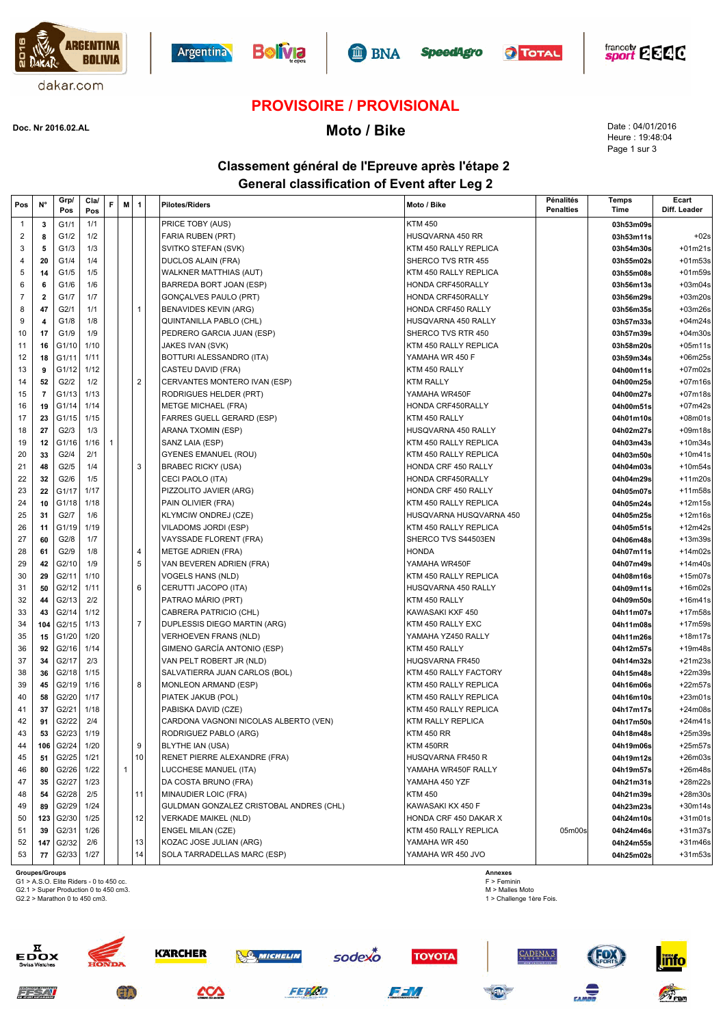











### **PROVISOIRE / PROVISIONAL**

**Moto / Bike Doc. Nr 2016.02.AL**

Date : 04/01/2016 Heure : 19:48:04 Page 1 sur 3

### **Classement général de l'Epreuve après l'étape 2 General classification of Event after Leg 2**

|    | N°<br>Pos                                 | Grp/<br>Pos    | Cla/<br>Pos  | F | M | 1                       | <b>Pilotes/Riders</b>                            | Moto / Bike                              | Pénalités<br><b>Penalties</b> | Temps<br>Time          | Ecart<br>Diff. Leader |
|----|-------------------------------------------|----------------|--------------|---|---|-------------------------|--------------------------------------------------|------------------------------------------|-------------------------------|------------------------|-----------------------|
|    | $\mathbf{1}$<br>3                         | G1/1           | 1/1          |   |   |                         | PRICE TOBY (AUS)                                 | <b>KTM 450</b>                           |                               | 03h53m09s              |                       |
|    | 2<br>8                                    | G1/2           | 1/2          |   |   |                         | FARIA RUBEN (PRT)                                | HUSQVARNA 450 RR                         |                               | 03h53m11s              | $+02s$                |
|    | 3<br>5                                    | G1/3           | 1/3          |   |   |                         | SVITKO STEFAN (SVK)                              | KTM 450 RALLY REPLICA                    |                               | 03h54m30s              | $+01m21s$             |
|    | 4<br>20                                   | G1/4           | 1/4          |   |   |                         | <b>DUCLOS ALAIN (FRA)</b>                        | SHERCO TVS RTR 455                       |                               | 03h55m02s              | $+01m53s$             |
|    | 5<br>14                                   | G1/5           | 1/5          |   |   |                         | <b>WALKNER MATTHIAS (AUT)</b>                    | KTM 450 RALLY REPLICA                    |                               | 03h55m08s              | +01m59s               |
|    | 6<br>6                                    | G1/6           | 1/6          |   |   |                         | BARREDA BORT JOAN (ESP)                          | HONDA CRF450RALLY                        |                               | 03h56m13s              | $+03m04s$             |
|    | $\overline{7}$<br>$\overline{\mathbf{2}}$ | G1/7           | 1/7          |   |   |                         | <b>GONÇALVES PAULO (PRT)</b>                     | HONDA CRF450RALLY                        |                               | 03h56m29s              | $+03m20s$             |
|    | 47<br>8                                   | G2/1           | 1/1          |   |   | $\mathbf{1}$            | BENAVIDES KEVIN (ARG)                            | HONDA CRF450 RALLY                       |                               | 03h56m35s              | $+03m26s$             |
|    | 9<br>4                                    | G1/8           | 1/8          |   |   |                         | QUINTANILLA PABLO (CHL)                          | HUSQVARNA 450 RALLY                      |                               | 03h57m33s              | $+04m24s$             |
|    | 10<br>17                                  | G1/9           | 1/9          |   |   |                         | PEDRERO GARCIA JUAN (ESP)                        | SHERCO TVS RTR 450                       |                               | 03h57m39s              | $+04m30s$             |
|    | 11<br>16                                  | G1/10          | 1/10         |   |   |                         | JAKES IVAN (SVK)                                 | KTM 450 RALLY REPLICA                    |                               | 03h58m20s              | $+05m11s$             |
|    | 12<br>18                                  | G1/11          | 1/11         |   |   |                         | BOTTURI ALESSANDRO (ITA)                         | YAMAHA WR 450 F                          |                               | 03h59m34s              | +06m25s               |
|    | 13<br>9                                   | G1/12          | 1/12         |   |   |                         | CASTEU DAVID (FRA)                               | KTM 450 RALLY                            |                               | 04h00m11s              | $+07m02s$             |
|    | 14<br>52                                  | G2/2           | 1/2          |   |   | 2                       | CERVANTES MONTERO IVAN (ESP)                     | <b>KTM RALLY</b>                         |                               | 04h00m25s              | +07m16s               |
|    | $\overline{7}$<br>15                      | G1/13          | 1/13         |   |   |                         | RODRIGUES HELDER (PRT)                           | YAMAHA WR450F                            |                               | 04h00m27s              | +07m18s               |
|    | 16<br>19                                  | G1/14          | 1/14         |   |   |                         | <b>METGE MICHAEL (FRA)</b>                       | HONDA CRF450RALLY                        |                               | 04h00m51s              | +07m42s               |
|    | 17<br>23                                  | G1/15          | 1/15         |   |   |                         | FARRES GUELL GERARD (ESP)                        | KTM 450 RALLY                            |                               | 04h01m10s              | $+08m01s$             |
|    | 18<br>27                                  | G2/3           | 1/3          |   |   |                         | ARANA TXOMIN (ESP)                               | HUSQVARNA 450 RALLY                      |                               | 04h02m27s              | $+09m18s$             |
|    | 19<br>12                                  | G1/16          | 1/16         | 1 |   |                         | SANZ LAIA (ESP)                                  | KTM 450 RALLY REPLICA                    |                               | 04h03m43s              | $+10m34s$             |
|    | 20<br>33                                  | G2/4           | 2/1          |   |   |                         | <b>GYENES EMANUEL (ROU)</b>                      | KTM 450 RALLY REPLICA                    |                               | 04h03m50s              | $+10m41s$             |
| 21 | 48                                        | G2/5           | 1/4          |   |   | 3                       | <b>BRABEC RICKY (USA)</b>                        | <b>HONDA CRF 450 RALLY</b>               |                               | 04h04m03s              | $+10m54s$             |
|    | 22<br>32                                  | G2/6           | 1/5          |   |   |                         | CECI PAOLO (ITA)                                 | HONDA CRF450RALLY                        |                               | 04h04m29s              | $+11m20s$             |
|    | 23<br>22                                  | G1/17          | 1/17         |   |   |                         | PIZZOLITO JAVIER (ARG)                           | HONDA CRF 450 RALLY                      |                               | 04h05m07s              | $+11m58s$             |
|    | 24<br>10                                  | G1/18          | 1/18         |   |   |                         | PAIN OLIVIER (FRA)                               | KTM 450 RALLY REPLICA                    |                               | 04h05m24s              | +12m15s               |
|    | 25<br>31                                  | G2/7           | 1/6          |   |   |                         | <b>KLYMCIW ONDREJ (CZE)</b>                      | HUSQVARNA HUSQVARNA 450                  |                               | 04h05m25s              | $+12m16s$             |
|    | 26<br>11                                  | G1/19          | 1/19         |   |   |                         | VILADOMS JORDI (ESP)                             | KTM 450 RALLY REPLICA                    |                               | 04h05m51s              | +12m42s               |
|    | 27<br>60                                  | G2/8           | 1/7          |   |   |                         | VAYSSADE FLORENT (FRA)                           | SHERCO TVS S44503EN                      |                               | 04h06m48s              | +13m39s               |
|    | 28<br>61                                  | G2/9           | 1/8          |   |   | $\overline{\mathbf{4}}$ | <b>METGE ADRIEN (FRA)</b>                        | <b>HONDA</b>                             |                               | 04h07m11s              | $+14m02s$             |
|    | 29<br>42                                  | G2/10          | 1/9          |   |   | 5                       | VAN BEVEREN ADRIEN (FRA)                         | YAMAHA WR450F                            |                               | 04h07m49s              | +14m40s               |
|    | 30<br>29                                  | G2/11          | 1/10         |   |   |                         | VOGELS HANS (NLD)                                | KTM 450 RALLY REPLICA                    |                               | 04h08m16s              | $+15m07s$             |
|    | 31<br>50                                  | G2/12          | 1/11         |   |   | 6                       | CERUTTI JACOPO (ITA)                             | HUSQVARNA 450 RALLY                      |                               | 04h09m11s              | +16m02s               |
|    | 32<br>44                                  | G2/13          | 2/2          |   |   |                         | PATRAO MARIO (PRT)                               | KTM 450 RALLY                            |                               | 04h09m50s              | $+16m41s$             |
|    | 33<br>43                                  | G2/14          | 1/12         |   |   |                         | CABRERA PATRICIO (CHL)                           | KAWASAKI KXF 450                         |                               | 04h11m07s              | +17m58s               |
|    | 34<br>104                                 | G2/15          | 1/13         |   |   | $\overline{7}$          | DUPLESSIS DIEGO MARTIN (ARG)                     | KTM 450 RALLY EXC                        |                               | 04h11m08s              | +17m59s               |
|    | 35<br>15                                  | G1/20          | 1/20         |   |   |                         | <b>VERHOEVEN FRANS (NLD)</b>                     | YAMAHA YZ450 RALLY                       |                               | 04h11m26s              | +18m17s               |
|    | 36<br>92                                  | G2/16          | 1/14         |   |   |                         | GIMENO GARCÍA ANTONIO (ESP)                      | KTM 450 RALLY                            |                               | 04h12m57s              | +19m48s               |
|    | 37<br>34                                  | G2/17          | 2/3          |   |   |                         | VAN PELT ROBERT JR (NLD)                         | HUQSVARNA FR450                          |                               | 04h14m32s              | $+21m23s$             |
|    | 38<br>36                                  | G2/18          | 1/15         |   |   |                         | SALVATIERRA JUAN CARLOS (BOL)                    | KTM 450 RALLY FACTORY                    |                               | 04h15m48s              | +22m39s               |
|    | 39<br>45                                  | G2/19          | 1/16         |   |   | 8                       | MONLEON ARMAND (ESP)                             | KTM 450 RALLY REPLICA                    |                               | 04h16m06s              | +22m57s               |
|    | 40<br>58                                  | G2/20          | 1/17         |   |   |                         | PIATEK JAKUB (POL)                               | KTM 450 RALLY REPLICA                    |                               | 04h16m10s              | $+23m01s$             |
| 41 | 37                                        | G2/21          | 1/18         |   |   |                         | PABISKA DAVID (CZE)                              | KTM 450 RALLY REPLICA                    |                               | 04h17m17s              | +24m08s               |
|    | 42<br>91                                  | G2/22          | 2/4          |   |   |                         | CARDONA VAGNONI NICOLAS ALBERTO (VEN)            | <b>KTM RALLY REPLICA</b>                 |                               | 04h17m50s              | $+24m41s$             |
|    | 43<br>53                                  | G2/23          | 1/19         |   |   |                         | RODRIGUEZ PABLO (ARG)                            | <b>KTM 450 RR</b>                        |                               | 04h18m48s              | $+25m39s$             |
|    | 106                                       | G2/24          | 1/20         |   |   | 9                       | BLYTHE IAN (USA)<br>RENET PIERRE ALEXANDRE (FRA) | KTM 450RR                                |                               | 04h19m06s              | +25m57s               |
|    | 45<br>51                                  | G2/25          | 1/21         |   |   | 10                      | LUCCHESE MANUEL (ITA)                            | HUSQVARNA FR450 R<br>YAMAHA WR450F RALLY |                               | 04h19m12s              | $+26m03s$             |
|    | 46<br>80                                  | G2/26<br>G2/27 | 1/22<br>1/23 |   | 1 |                         |                                                  | YAMAHA 450 YZF                           |                               | 04h19m57s<br>04h21m31s | +26m48s               |
|    | 47<br>35<br>54                            | G2/28          | 2/5          |   |   | 11                      | DA COSTA BRUNO (FRA)<br>MINAUDIER LOIC (FRA)     | <b>KTM 450</b>                           |                               | 04h21m39s              | +28m22s<br>+28m30s    |
|    | 48<br>49<br>89                            | G2/29          | 1/24         |   |   |                         | GULDMAN GONZALEZ CRISTOBAL ANDRES (CHL)          | KAWASAKI KX 450 F                        |                               | 04h23m23s              | $+30m14s$             |
|    | 50<br>123                                 | G2/30          | 1/25         |   |   | 12                      | <b>VERKADE MAIKEL (NLD)</b>                      | HONDA CRF 450 DAKAR X                    |                               | 04h24m10s              | $+31m01s$             |
| 51 | 39                                        | G2/31          | 1/26         |   |   |                         | ENGEL MILAN (CZE)                                | KTM 450 RALLY REPLICA                    | 05m00s                        | 04h24m46s              | $+31m37s$             |
|    | 52<br>147                                 | G2/32          | 2/6          |   |   | 13                      | KOZAC JOSE JULIAN (ARG)                          | YAMAHA WR 450                            |                               | 04h24m55s              | +31m46s               |
|    | 53<br>77                                  | G2/33          | 1/27         |   |   | 14                      | SOLA TARRADELLAS MARC (ESP)                      | YAMAHA WR 450 JVO                        |                               | 04h25m02s              | $+31m53s$             |
|    |                                           |                |              |   |   |                         |                                                  |                                          |                               |                        |                       |

 $z \neq 7.7$ 

**Groupes/Groups** G1 > A.S.O. Elite Riders - 0 to 450 cc.

G2.1 > Super Production 0 to 450 cm3. G2.2 > Marathon 0 to 450 cm3.

**Annexes** F > Feminin

M > Malles Moto 1 > Challenge 1ère Fois.



**ED** 





**SO MICHELIN** 



sodexo



**TOYOTA** 



**CADENA 3** 



inf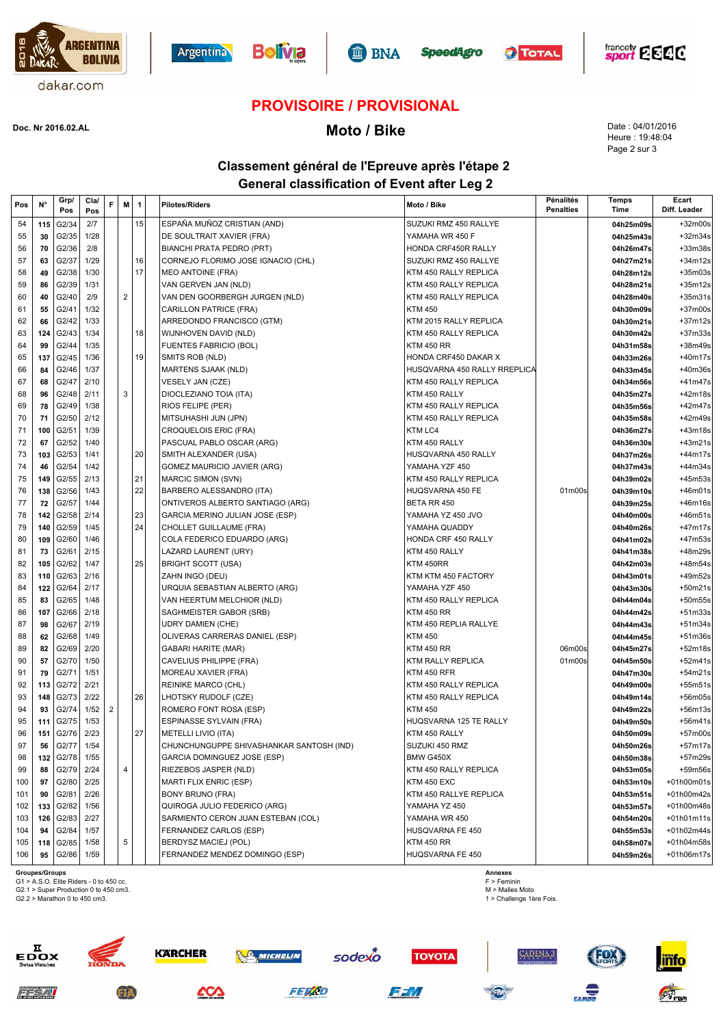











# **PROVISOIRE / PROVISIONAL**

# **Moto / Bike Doc. Nr 2016.02.AL**

Date : 04/01/2016 Heure : 19:48:04 Page 2 sur 3

### **Classement général de l'Epreuve après l'étape 2 General classification of Event after Leg 2**

| Pos | N°  | Grp/<br>Pos | Cla/<br>Pos | F              | M              | 1  | <b>Pilotes/Riders</b>                    | Moto / Bike                  | Pénalités<br><b>Penalties</b> | Temps<br>Time | Ecart<br>Diff. Leader |
|-----|-----|-------------|-------------|----------------|----------------|----|------------------------------------------|------------------------------|-------------------------------|---------------|-----------------------|
| 54  | 115 | G2/34       | 2/7         |                |                | 15 | ESPAÑA MUÑOZ CRISTIAN (AND)              | SUZUKI RMZ 450 RALLYE        |                               | 04h25m09s     | +32m00s               |
| 55  | 30  | G2/35       | 1/28        |                |                |    | DE SOULTRAIT XAVIER (FRA)                | YAMAHA WR 450 F              |                               | 04h25m43s     | $+32m34s$             |
| 56  | 70  | G2/36       | 2/8         |                |                |    | BIANCHI PRATA PEDRO (PRT)                | HONDA CRF450R RALLY          |                               | 04h26m47s     | +33m38s               |
| 57  | 63  | G2/37       | 1/29        |                |                | 16 | CORNEJO FLORIMO JOSE IGNACIO (CHL)       | SUZUKI RMZ 450 RALLYE        |                               | 04h27m21s     | $+34m12s$             |
| 58  | 49  | G2/38       | 1/30        |                |                | 17 | <b>MEO ANTOINE (FRA)</b>                 | KTM 450 RALLY REPLICA        |                               | 04h28m12s     | +35m03s               |
| 59  | 86  | G2/39       | 1/31        |                |                |    | VAN GERVEN JAN (NLD)                     | KTM 450 RALLY REPLICA        |                               | 04h28m21s     | $+35m12s$             |
| 60  | 40  | G2/40       | 2/9         |                | $\overline{2}$ |    | VAN DEN GOORBERGH JURGEN (NLD)           | KTM 450 RALLY REPLICA        |                               | 04h28m40s     | $+35m31s$             |
| 61  | 55  | G2/41       | 1/32        |                |                |    | CARILLON PATRICE (FRA)                   | <b>KTM 450</b>               |                               | 04h30m09s     | +37m00s               |
| 62  | 66  | G2/42       | 1/33        |                |                |    | ARREDONDO FRANCISCO (GTM)                | KTM 2015 RALLY REPLICA       |                               | 04h30m21s     | $+37m12s$             |
| 63  | 124 | G2/43       | 1/34        |                |                | 18 | WIJNHOVEN DAVID (NLD)                    | KTM 450 RALLY REPLICA        |                               | 04h30m42s     | $+37m33s$             |
| 64  | 99  | G2/44       | 1/35        |                |                |    | <b>FUENTES FABRICIO (BOL)</b>            | <b>KTM 450 RR</b>            |                               | 04h31m58s     | +38m49s               |
| 65  | 137 | G2/45       | 1/36        |                |                | 19 | SMITS ROB (NLD)                          | HONDA CRF450 DAKAR X         |                               | 04h33m26s     | +40m17s               |
| 66  | 84  | G2/46       | 1/37        |                |                |    | MARTENS SJAAK (NLD)                      | HUSQVARNA 450 RALLY RREPLICA |                               | 04h33m45s     | +40m36s               |
| 67  | 68  | G2/47       | 2/10        |                |                |    | VESELY JAN (CZE)                         | KTM 450 RALLY REPLICA        |                               | 04h34m56s     | +41m47s               |
| 68  | 96  | G2/48       | 2/11        |                | 3              |    | DIOCLEZIANO TOIA (ITA)                   | KTM 450 RALLY                |                               | 04h35m27s     | +42m18s               |
| 69  | 78  | G2/49       | 1/38        |                |                |    | <b>RIOS FELIPE (PER)</b>                 | KTM 450 RALLY REPLICA        |                               | 04h35m56s     | $+42m47s$             |
| 70  | 71  | G2/50       | 2/12        |                |                |    | MITSUHASHI JUN (JPN)                     | KTM 450 RALLY REPLICA        |                               | 04h35m58s     | +42m49s               |
| 71  | 100 | G2/51       | 1/39        |                |                |    | CROQUELOIS ERIC (FRA)                    | KTM LC4                      |                               | 04h36m27s     | $+43m18s$             |
| 72  | 67  | G2/52       | 1/40        |                |                |    | PASCUAL PABLO OSCAR (ARG)                | KTM 450 RALLY                |                               | 04h36m30s     | $+43m21s$             |
| 73  | 103 | G2/53       | 1/41        |                |                | 20 | SMITH ALEXANDER (USA)                    | HUSQVARNA 450 RALLY          |                               | 04h37m26s     | +44m17s               |
| 74  | 46  | G2/54       | 1/42        |                |                |    | GOMEZ MAURICIO JAVIER (ARG)              | YAMAHA YZF 450               |                               | 04h37m43s     | +44m34s               |
| 75  | 149 | G2/55       | 2/13        |                |                | 21 | MARCIC SIMON (SVN)                       | KTM 450 RALLY REPLICA        |                               | 04h39m02s     | +45m53s               |
| 76  | 138 | G2/56       | 1/43        |                |                | 22 | BARBERO ALESSANDRO (ITA)                 | HUQSVARNA 450 FE             | 01m00s                        | 04h39m10s     | +46m01s               |
| 77  | 72  | G2/57       | 1/44        |                |                |    | ONTIVEROS ALBERTO SANTIAGO (ARG)         | BETA RR 450                  |                               | 04h39m25s     | +46m16s               |
| 78  | 142 | G2/58       | 2/14        |                |                | 23 | GARCIA MERINO JULIAN JOSE (ESP)          | YAMAHA YZ 450 JVO            |                               | 04h40m00s     | +46m51s               |
| 79  | 140 | G2/59       | 1/45        |                |                | 24 | CHOLLET GUILLAUME (FRA)                  | YAMAHA QUADDY                |                               | 04h40m26s     | +47m17s               |
| 80  | 109 | G2/60       | 1/46        |                |                |    | COLA FEDERICO EDUARDO (ARG)              | HONDA CRF 450 RALLY          |                               | 04h41m02s     | +47m53s               |
| 81  | 73  | G2/61       | 2/15        |                |                |    | LAZARD LAURENT (URY)                     | KTM 450 RALLY                |                               | 04h41m38s     | +48m29s               |
| 82  | 105 | G2/62       | 1/47        |                |                | 25 | <b>BRIGHT SCOTT (USA)</b>                | KTM 450RR                    |                               | 04h42m03s     | +48m54s               |
| 83  | 110 | G2/63       | 2/16        |                |                |    | ZAHN INGO (DEU)                          | KTM KTM 450 FACTORY          |                               | 04h43m01s     | +49m52s               |
| 84  | 122 | G2/64       | 2/17        |                |                |    | URQUIA SEBASTIAN ALBERTO (ARG)           | YAMAHA YZF 450               |                               | 04h43m30s     | $+50m21s$             |
| 85  | 83  | G2/65       | 1/48        |                |                |    | VAN HEERTUM MELCHIOR (NLD)               | KTM 450 RALLY REPLICA        |                               | 04h44m04s     | +50m55s               |
| 86  | 107 | G2/66       | 2/18        |                |                |    | SAGHMEISTER GABOR (SRB)                  | <b>KTM 450 RR</b>            |                               | 04h44m42s     | $+51m33s$             |
| 87  | 98  | G2/67       | 2/19        |                |                |    | <b>UDRY DAMIEN (CHE)</b>                 | KTM 450 REPLIA RALLYE        |                               | 04h44m43s     | $+51m34s$             |
| 88  | 62  | G2/68       | 1/49        |                |                |    | OLIVERAS CARRERAS DANIEL (ESP)           | <b>KTM 450</b>               |                               | 04h44m45s     | +51m36s               |
| 89  | 82  | G2/69       | 2/20        |                |                |    | <b>GABARI HARITE (MAR)</b>               | <b>KTM 450 RR</b>            | 06m00s                        | 04h45m27s     | +52m18s               |
| 90  | 57  | G2/70       | 1/50        |                |                |    | CAVELIUS PHILIPPE (FRA)                  | KTM RALLY REPLICA            | 01m00s                        | 04h45m50s     | $+52m41s$             |
| 91  | 79  | G2/71       | 1/51        |                |                |    | <b>MOREAU XAVIER (FRA)</b>               | KTM 450 RFR                  |                               | 04h47m30s     | $+54m21s$             |
| 92  | 113 | G2/72       | 2/21        |                |                |    | <b>REINIKE MARCO (CHL)</b>               | KTM 450 RALLY REPLICA        |                               | 04h49m00s     | $+55m51s$             |
| 93  | 148 | G2/73       | 2/22        |                |                | 26 | LHOTSKY RUDOLF (CZE)                     | KTM 450 RALLY REPLICA        |                               | 04h49m14s     | $+56m05s$             |
| 94  | 93  | G2/74       | 1/52        | $\overline{2}$ |                |    | ROMERO FONT ROSA (ESP)                   | <b>KTM 450</b>               |                               | 04h49m22s     | +56m13s               |
| 95  | 111 | G2/75       | 1/53        |                |                |    | <b>ESPINASSE SYLVAIN (FRA)</b>           | HUQSVARNA 125 TE RALLY       |                               | 04h49m50s     | +56m41s               |
| 96  | 151 | G2/76       | 2/23        |                |                | 27 | METELLI LIVIO (ITA)                      | KTM 450 RALLY                |                               | 04h50m09s     | $+57m00s$             |
| 97  | 56  | G2/77       | 1/54        |                |                |    | CHUNCHUNGUPPE SHIVASHANKAR SANTOSH (IND) | SUZUKI 450 RMZ               |                               | 04h50m26s     | $+57m17s$             |
| 98  | 132 | G2/78       | 1/55        |                |                |    | GARCIA DOMINGUEZ JOSE (ESP)              | BMW G450X                    |                               | 04h50m38s     | +57m29s               |
| 99  | 88  | G2/79       | 2/24        |                | $\overline{4}$ |    | RIEZEBOS JASPER (NLD)                    | KTM 450 RALLY REPLICA        |                               | 04h53m05s     | +59m56s               |
| 100 | 97  | G2/80       | 2/25        |                |                |    | <b>MARTI FLIX ENRIC (ESP)</b>            | KTM 450 EXC                  |                               | 04h53m10s     | +01h00m01s            |
| 101 | 90  | G2/81       | 2/26        |                |                |    | <b>BONY BRUNO (FRA)</b>                  | KTM 450 RALLYE REPLICA       |                               | 04h53m51s     | +01h00m42s            |
| 102 | 133 | G2/82       | 1/56        |                |                |    | QUIROGA JULIO FEDERICO (ARG)             | YAMAHA YZ 450                |                               | 04h53m57s     | +01h00m48s            |
| 103 | 126 | G2/83       | 2/27        |                |                |    | SARMIENTO CERON JUAN ESTEBAN (COL)       | YAMAHA WR 450                |                               | 04h54m20s     | +01h01m11s            |
| 104 | 94  | G2/84       | 1/57        |                |                |    | FERNANDEZ CARLOS (ESP)                   | HUSQVARNA FE 450             |                               | 04h55m53s     | +01h02m44s            |
| 105 | 118 | G2/85       | 1/58        |                | 5              |    | BERDYSZ MACIEJ (POL)                     | <b>KTM 450 RR</b>            |                               | 04h58m07s     | +01h04m58s            |
| 106 | 95  | G2/86       | 1/59        |                |                |    | FERNANDEZ MENDEZ DOMINGO (ESP)           | HUQSVARNA FE 450             |                               | 04h59m26s     | +01h06m17s            |
|     |     |             |             |                |                |    |                                          |                              |                               |               |                       |

**Groupes/Groups**<br>G1 > A.S.O. Elite Riders - 0 to 450 cc.<br>G2.1 > Super Production 0 to 450 cm3.

**ED** 

G2.2 > Marathon 0 to 450 cm3.

òх

**Annexes** F > Feminin M > Malles Moto 1 > Challenge 1ère Fois.







FFM